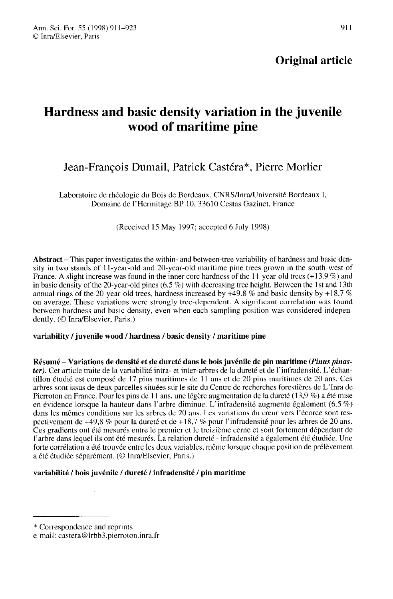# Original article

# Hardness and basic density variation in the juvenile wood of maritime pine

# Jean-François Dumail, Patrick Castéra\*, Pierre Morlier

Laboratoire de rhéologie du Bois de Bordeaux, CNRS/Inra/Université Bordeaux I, Domaine de l'Hermitage BP 10, 33610 Cestas Gazinet, France

(Received 15 May 1997; accepted 6 July 1998)

Abstract – This paper investigates the within- and between-tree variability of hardness and basic density in two stands of 11-year-old and 20-year-old maritime pine trees grown in the south-west of France. A slight increase was found in the inner core hardness of the 11-year-old trees (+13.9 %) and in basic density of the 20-year-old pines (6.5 %) with decreasing tree height. Between the 1st and 13th annual rings of the 20-year-old trees, hardness increased by  $+49.8$  % and basic density by  $+18.7$  % on average. These variations were strongly tree-dependent. A significant correlation was found between hardness and basic density, even when each sampling position was considered independently. (© Inra/Elsevier, Paris.)

## variability / juvenile wood / hardness / basic density / maritime pine

Résumé – Variations de densité et de dureté dans le bois juvénile de pin maritime (*Pinus pinas*ter). Cet article traite de la variabilité intra- et inter-arbres de la dureté et de l'infradensité. L'échantillon étudié est composé de 17 pins maritimes de 11 ans et de 20 pins maritimes de 20 ans. Ces arbres sont issus de deux parcelles situées sur le site du Centre de recherches forestières de L'Inra de Pierroton en France. Pour les pins de 11 ans, une légère augmentation de la dureté (13,9 %) a été mise en évidence lorsque la hauteur dans l'arbre diminue. L'infradensité augmente également  $(6,5\%)$ dans les mêmes conditions sur les arbres de 20 ans. Les variations du cœur vers l'écorce sont respectivement de +49,8 % pour la dureté et de +18,7 % pour l'infradensité pour les arbres de 20 ans. Ces gradients ont été mesurés entre le premier et le treizième cerne et sont fortement dépendant de l'arbre dans lequel ils ont été mesurés. La relation dureté - infradensité a également été étudiée. Une forte corrélation a été trouvée entre les deux variables, même lorsque chaque position de prélèvement a été étudiée séparément. (© Inra/Elsevier, Paris.)

# variabilité / bois juvénile / dureté / infradensité / pin maritime

<sup>\*</sup> Correspondence and reprints

e-mail: castera@lrbb3.pierroton.inra.fr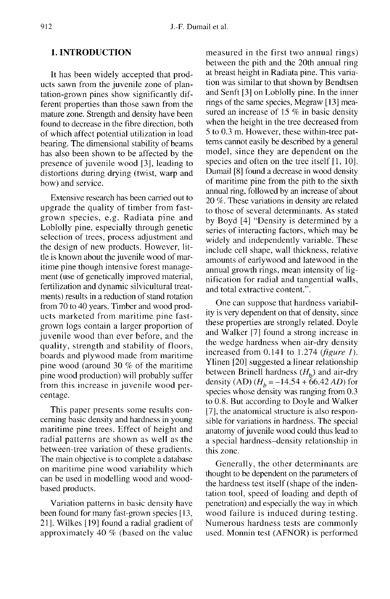## 1. INTRODUCTION

It has been widely accepted that prod ucts sawn from the juvenile zone of plantation-grown pines show significantly different properties than those sawn from the mature zone. Strength and density have been found to decrease in the fibre direction, both of which affect potential utilization in load bearing. The dimensional stability of beams has also been shown to be affected by the presence of juvenile wood [3], leading to distortions during drying (twist, warp and bow) and service.

Extensive research has been carried out to upgrade the quality of timber from fastgrown species, e.g. Radiata pine and Loblolly pine, especially through genetic selection of trees, process adjustment and the design of new products. However, little is known about the juvenile wood of maritime pine though intensive forest management (use of genetically improved material, fertilization and dynamic silvicultural treatments) results in a reduction of stand rotation from 70 to 40 years. Timber and wood prod ucts marketed from maritime pine fastgrown logs contain a larger proportion of juvenile wood than ever before, and the quality, strength and stability of floors, boards and plywood made from maritime pine wood (around 30 % of the maritime pine wood production) will probably suffer from this increase in juvenile wood percentage.

This paper presents some results concerning basic density and hardness in young maritime pine trees. Effect of height and radial patterns are shown as well as the between-tree variation of these gradients. The main objective is to complete a database on maritime pine wood variability which can be used in modelling wood and woodbased products.

Variation patterns in basic density have been found for many fast-grown species [ 13, 21]. Wilkes [19] found a radial gradient of approximately 40 % (based on the value measured in the first two annual rings) between the pith and the 20th annual ring at breast height in Radiata pine. This variation was similar to that shown by Bendtsen and Senft [3] on Loblolly pine. In the inner rings of the same species, Megraw [13] measured an increase of 15 % in basic density when the height in the tree decreased from 5 to 0.3 m. However, these within-tree pat terns cannot easily be described by a general model, since they are dependent on the species and often on the tree itself [1, 10]. Dumail [8] found a decrease in wood density of maritime pine from the pith to the sixth annual ring, followed by an increase of about 20 %. These variations in density are related to those of several determinants. As stated by Boyd [4] "Density is determined by a series of interacting factors, which may be widely and independently variable. These include cell shape, wall thickness, relative amounts of earlywood and latewood in the annual growth rings, mean intensity of lignification for radial and tangential walls, and total extractive content.".

One can suppose that hardness variability is very dependent on that of density, since these properties are strongly related. Doyle and Walker [7] found a strong increase in the wedge hardness when air-dry density increased from  $0.141$  to 1.274 (figure 1). Ylinen [20] suggested a linear relationship<br>between Brinell hardness  $(H_b)$  and air-dry<br>density  $(AD)(H = -14.54 + 66.42 A D)$  for between Brinell hardness  $(H_b)$  and air-dry<br>density (AD)  $(H_b = -14.54 + 66.42$  *AD*) for species whose density was ranging from 0.3 to 0.8. But according to Doyle and Walker [7], the anatomical structure is also responsible for variations in hardness. The special anatomy of juvenile wood could thus lead to a special hardness-density relationship in this zone.

Generally, the other determinants are thought to be dependent on the parameters of the hardness test itself (shape of the indentation tool, speed of loading and depth of penetration) and especially the way in which wood failure is induced during testing. Numerous hardness tests are commonly used. Monnin test (AFNOR) is performed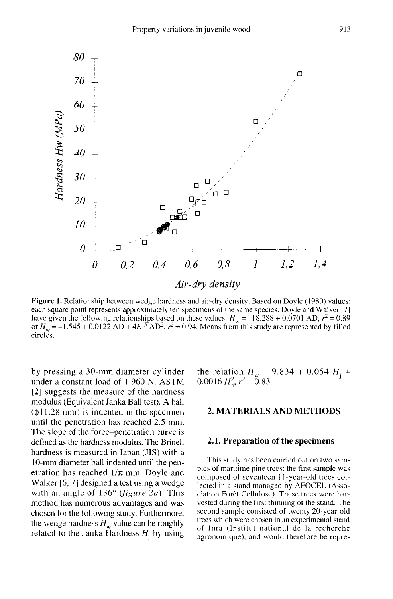

Figure 1. Relationship between wedge hardness and air-dry density. Based on Doyle (1980) values: each square point represents approximately ten specimens of the same species. Doyle and Walker [7] have given the following relationships based on these values:  $H_w = -18.288 + 0.0701$  AD,  $r^2 = 0.89$ <br>or  $H_w = -1.545 + 0.0122$  AD +  $4E^{-5}$  AD<sup>2</sup>,  $r^2 = 0.94$ . Means from this study are represented by filled circles.

by pressing a 30-mm diameter cylinder under a constant load of 1 960 N. ASTM [2] suggests the measure of the hardness modulus (Equivalent Janka Ball test). A ball  $(\phi11.28 \text{ mm})$  is indented in the specimen until the penetration has reached 2.5 mm. The slope of the force-penetration curve is defined as the hardness modulus. The Brinell hardness is measured in Japan (JIS) with a 10-mm diameter ball indented until the penetration has reached  $1/\pi$  mm. Doyle and Walker [6, 7] designed a test using a wedge with an angle of  $136^{\circ}$  (figure 2a). This method has numerous advantages and was chosen for the following study. Furthermore, the wedge hardness  $H_w$  value can be roughly related to the Janka Hardness  $H_i$  by using the relation  $H_w = 9.834 + 0.054 H_j + 0.0016 H_j^2$ ,  $r^2 = 0.83$ .

## 2. MATERIALS AND METHODS

### 2.1. Preparation of the specimens

This study has been carried out on two samples of maritime pine trees: the first sample was composed of seventeen 11-year-old trees collected in a stand managed by AFOCEL (Association Forêt Cellulose). These trees were harvested during the first thinning of the stand. The second sample consisted of twenty 20-year-old trees which were chosen in an experimental stand of Inra (Institut national de la recherche agronomique), and would therefore be rcpre-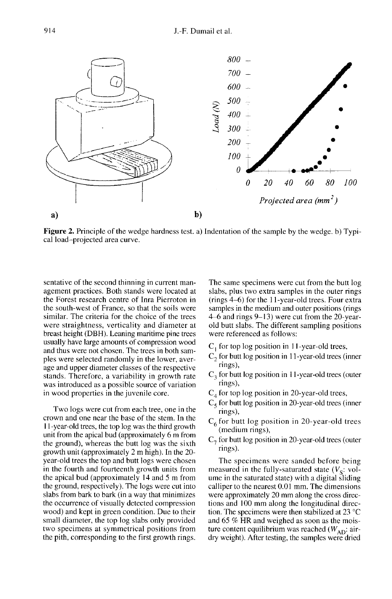

**Figure 2.** Principle of the wedge hardness test. a) Indentation of the sample by the wedge. b) Typical load-projected area curve.

sentative of the second thinning in current management practices. Both stands were located at the Forest research centre of Inra Pierroton in the south-west of France, so that the soils were similar. The criteria for the choice of the trees were straightness, verticality and diameter at breast height (DBH). Leaning maritime pine trees usually have large amounts of compression wood and thus were not chosen. The trees in both samples were selected randomly in the lower, average and upper diameter classes of the respective stands. Therefore, a variability in growth rate was introduced as a possible source of variation in wood properties in the juvenile core.

Two logs were cut from each tree, one in the crown and one near the base of the stem. In the 11-year-old trees, the top log was the third growth unit from the apical bud (approximately 6 m from the ground), whereas the butt log was the sixth growth unit (approximately 2 m high). In the 20 year-old trees the top and butt logs were chosen in the fourth and fourteenth growth units from the apical bud (approximately 14 and 5 m from the ground, respectively). The logs were cut into slabs from bark to bark (in a way that minimizes the occurrence of visually detected compression wood) and kept in green condition. Due to their small diameter, the top log slabs only provided two specimens at symmetrical positions from the pith, corresponding to the first growth rings.

The same specimens were cut from the butt log slabs, plus two extra samples in the outer rings (rings 4-6) for the 11-year-old trees. Four extra samples in the medium and outer positions (rings 4-6 and rings 9-13) were cut from the 20-yearold butt slabs. The different sampling positions were referenced as follows:

- $C<sub>1</sub>$  for top log position in 11-year-old trees,
- $C_2$  for butt log position in 11-year-old trees (inner rings),
- $C<sub>3</sub>$  for butt log position in 11-year-old trees (outer rings),
- $C_4$  for top log position in 20-year-old trees,
- $C_5$  for butt log position in 20-year-old trees (inner rings),
- $C_6$  for butt log position in 20-year-old trees (medium rings),
- $C<sub>7</sub>$  for butt log position in 20-year-old trees (outer rings).

The specimens were sanded before being measured in the fully-saturated state  $(V<sub>s</sub>: vol$ ume in the saturated state) with a digital sliding calliper to the nearest 0.01 mm. The dimensions were approximately 20 mm along the cross directions and 100 mm along the longitudinal direction. The specimens were then stabilized at 23 °C and 65 % HR and weighed as soon as the moisture content equilibrium was reached  $(W_{AD})$ : airdry weight). After testing, the samples were dried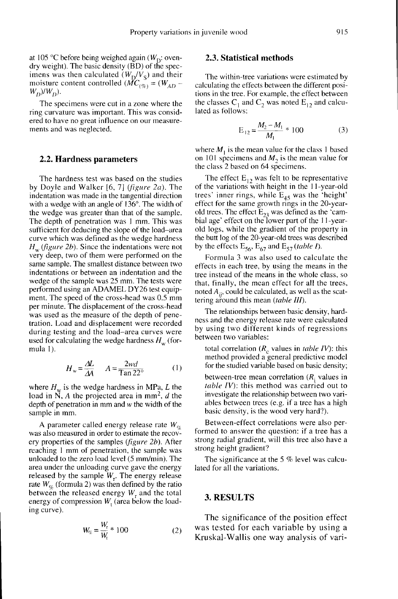at 105 °C before being weighed again ( $W<sub>D</sub>$ : ovendry weight). The basic density (BD) of the specat 105 °C before being weighed again (W<sub>D</sub>: oven-<br>dry weight). The basic density (BD) of the spec-<br>imens was then calculated ( $W_D/V_S$ ) and their<br>moisture content controlled ( $MC_{(\%)} = (W_{AD}$ at 105 °C before being weighed again ( $W_D$ : oven-<br>dry weight). The basic density (BD) of the spec-<br>imens was then calculated ( $W_D/V_S$ ) and their<br>moisture content controlled ( $MC_{(\%)} = (W_{AD} - W_D)/W_D$ ).<br>The specimens were cut in

The specimens were cut in a zone where the ring curvature was important. This was considered to have no great influence on our measurements and was neglected.

#### 2.2. Hardness parameters

The hardness test was based on the studies by Doyle and Walker [6, 7] (figure 2a). The indentation was made in the tangential direction with a wedge with an angle of 136°. The width of the wedge was greater than that of the sample. The depth of penetration was I mm. This was sufficient for deducing the slope of the load-area curve which was defined as the wedge hardness  $H_w$  (figure 2b). Since the indentations were not very deep, two of them were performed on the same sample. The smallest distance between two indentations or between an indentation and the wedge of the sample was 25 mm. The tests were<br>performed using an ADAMEL DY26 test equipment. The speed of the cross-head was  $0.5$  mm per minute. The displacement of the cross-head was used as the measure of the depth of penetration. Load and displacement were recorded during testing and the load-area curves were used for calculating the wedge hardness  $H_w$  (formula I).

$$
H_{\rm w} = \frac{\Delta L}{\Delta A} \qquad A = \frac{2wd}{\text{Tan } 22^{\circ}} \tag{1}
$$

where  $H_w$  is the wedge hardness in MPa, L the<br>load in N, A the projected area in mm<sup>2</sup>, d the<br>denth of nenetration in mm and w the width of the load in N, A the projected area in mm<sup>2</sup>, d the depth of penetration in mm and w the width of the sample in mm.

A parameter called energy release rate  $W_{\alpha}$  was also measured in order to estimate the recovery properties of the samples (figure 2b). After reaching 1 mm of penetration, the sample was unloaded to the zero load level (5 mm/min). The area under the unloading curve gave the energy released by the sample  $W_r$ . The energy release rate  $W_{\alpha}$  (formula 2) was then defined by the ratio between the released energy  $W_r$  and the total energy of compression  $W_t$  (area below the loading curve).

$$
W_{\%} = \frac{W_{\rm r}}{W_{\rm t}} \times 100 \tag{2}
$$

## 2.3. Statistical methods

The within-tree variations were estimated by calculating the effects between the different positions in the tree. For example, the effect between the classes  $C_1$  and  $C_2$  was noted  $E_{12}$  and calculated as follows:

$$
E_{12} = \frac{M_2 - M_1}{M_1} * 100
$$
 (3)

where  $M_1$  is the mean value for the class 1 based on 101 specimens and  $M<sub>2</sub>$  is the mean value for the class 2 based on 64 specimens.

The effect  $E_{12}$  was felt to be representative<br>of the variations with height in the 11-year-old trees' inner rings, while  $E_{45}$  was the 'height' effect for the same growth rings in the 20-yearold trees. The effect  $E_{23}$  was defined as the 'cambial age' effect on the lower part of the 11-yearold logs, while the gradient of the property in the butt log of the 20-year-old trees was described by the effects  $E_{56}$ ,  $E_{67}$  and  $E_{57}$  (table I).

Formula 3 was also used to calculate the effects in each tree, by using the means in the tree instead of the means in the whole class, so that, finally, the mean effect for all the trees, noted  $A_{ii}$ , could be calculated, as well as the scattering around this mean *(table III)*.

The relationships between basic density, hardness and the energy release rate were calculated by using two different kinds of regressions between two variables:

total correlation  $(R_c$  values in *table IV*): this method provided a general predictive model for the studied variable based on basic density;

between-tree mean correlation  $(R<sub>i</sub>$  values in table IV): this method was carried out to investigate the relationship between two variables between trees (e.g. if a tree has a high basic density, is the wood very hard?).

Between-effect correlations were also performed to answer the question: if a tree has a strong radial gradient, will this tree also have a strong height gradient?

The significance at the 5 % level was calculated for all the variations.

#### 3. RESULTS

The significance of the position effect was tested for each variable by using a Kruskal-Wallis one way analysis of vari-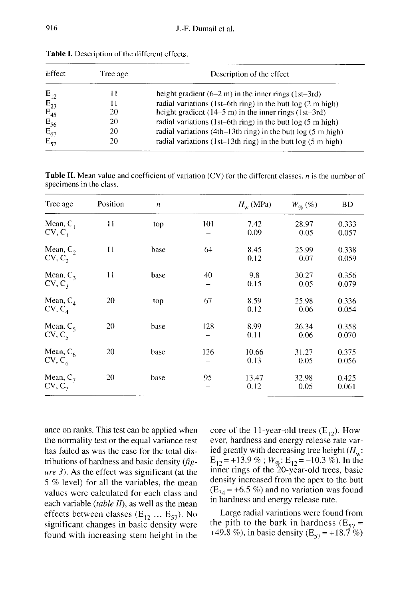| Effect                                                                | Tree age | Description of the effect                                         |
|-----------------------------------------------------------------------|----------|-------------------------------------------------------------------|
| $E_{12}$                                                              | Н        | height gradient $(6-2 \text{ m})$ in the inner rings $(1st-3rd)$  |
|                                                                       | 11       | radial variations (1st–6th ring) in the butt $log(2 m high)$      |
| $\textcolor{red}{\mathbf{E}_{23}}\\ \textcolor{red}{\mathbf{E}_{45}}$ | 20       | height gradient $(14-5 \text{ m})$ in the inner rings $(1st-3rd)$ |
| $E_{56}$                                                              | 20       | radial variations (1st-6th ring) in the butt $log(5 m high)$      |
| $E_{67}$                                                              | 20       | radial variations (4th–13th ring) in the butt $log(5 m high)$     |
| $E_{57}$                                                              | 20       | radial variations (1st-13th ring) in the butt $log(5 m high)$     |

Table I. Description of the different effects.

**Table II.** Mean value and coefficient of variation (CV) for the different classes, *n* is the number of specimens in the class.

| Tree age                          | Position | $\boldsymbol{n}$ |     | $H_w$ (MPa)   | $W_{\alpha}(\%)$ | <b>BD</b>      |
|-----------------------------------|----------|------------------|-----|---------------|------------------|----------------|
| Mean, $C_1$<br>$CV, C_1$          | 11       | top              | 101 | 7.42<br>0.09  | 28.97<br>0.05    | 0.333<br>0.057 |
| Mean, $C_2$<br>CV, C,             | 11       | base             | 64  | 8.45<br>0.12  | 25.99<br>0.07    | 0.338<br>0.059 |
| Mean, $C_3$<br>$CV, C_3$          | 11       | base             | 40  | 9.8<br>0.15   | 30.27<br>0.05    | 0.356<br>0.079 |
| Mean, $C_4$<br>$CV, C_4$          | 20       | top              | 67  | 8.59<br>0.12  | 25.98<br>0.06    | 0.336<br>0.054 |
| Mean, $C_5$<br>$CV, C_5$          | 20       | base             | 128 | 8.99<br>0.11  | 26.34<br>0.06    | 0.358<br>0.070 |
| Mean, $C_6$<br>$CV, C_6$          | 20       | base             | 126 | 10.66<br>0.13 | 31.27<br>0.05    | 0.375<br>0.056 |
| Mean, $C_7$<br>CV, C <sub>7</sub> | 20       | base             | 95  | 13.47<br>0.12 | 32.98<br>0.05    | 0.425<br>0.061 |

ance on ranks. This test can be applied when the normality test or the equal variance test has failed as was the case for the total distributions of hardness and basic density (fig ure 3). As the effect was significant (at the 5 % level) for all the variables, the mean values were calculated for each class and each variable (table  $II$ ), as well as the mean effects between classes ( $E_{12}$  ...  $E_{57}$ ). No significant changes in basic density were found with increasing stem height in the

core of the 11-year-old trees  $(E_{12})$ . However, hardness and energy release rate varever, hardness and energy release rate varied greatly with decreasing tree height  $(H_w:$ <br>  $F = +13.9\% \cdot W \cdot F = -10.3\%$ ) In the core of the 11-year-old trees (E<sub>12</sub>). How-<br>ever, hardness and energy release rate var-<br>ied greatly with decreasing tree height ( $H_w$ ;<br>E<sub>12</sub> = +13.9 % ;  $W_{\varphi_k}$ : E<sub>12</sub> = -10.3 %). In the<br>inner rings of the 20-year-old t density increased from the apex to the butt  $(E_{34} = +6.5 \%)$  and no variation was found in hardness and energy release rate.

Large radial variations were found from the pith to the bark in hardness (E<sub>57</sub> = +49.8 %), in basic density (E<sub>57</sub> = +18.7 %)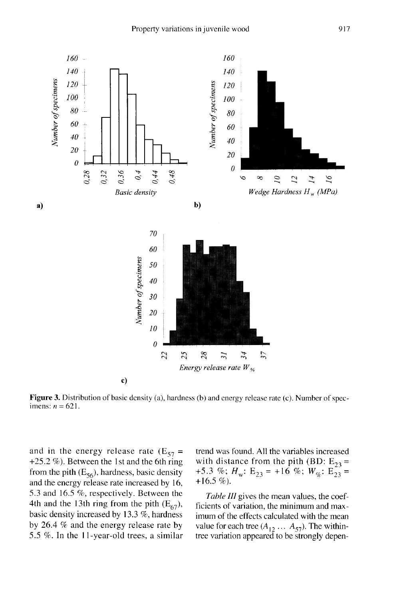

Figure 3. Distribution of basic density (a), hardness (b) and energy release rate (c). Number of specimens:  $n = 621$ .

and in the energy release rate ( $E_{57}$  = +25.2 %). Between the 1st and the 6th ring from the pith  $(E_{56})$ , hardness, basic density and the energy release rate increased by 16, 5.3 and 16.5 %, respectively. Between the 4th and the 13th ring from the pith  $(E_{67})$ , basic density increased by 13.3 %, hardness by 26.4 % and the energy release rate by 5.5 %. In the 11-year-old trees, a similar

trend was found. All the variables increased with distance from the pith (BD:  $E_{23}$  = +5.3 %;  $H_w$ :  $E_{23}$  = +16 %;  $W_{\%}$ :  $E_{23}$  = +16.5 %).

Table III gives the mean values, the coefficients of variation, the minimum and maximum of the effects calculated with the mean value for each tree  $(A_{12} \ldots A_{57})$ . The withintree variation appeared to be strongly depen-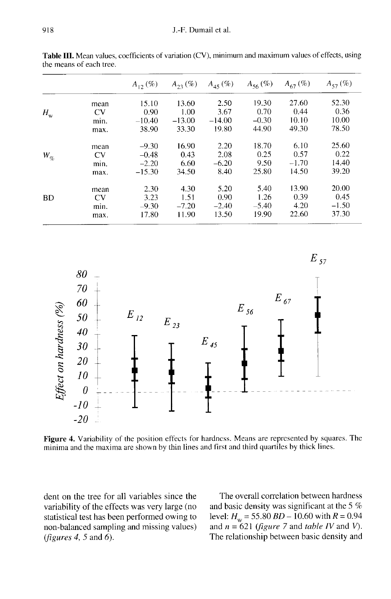|              |           | $A_{12}$ (%) | $A_{23} (\%)$ | $A_{45}$ (%) | $A_{56}$ (%) | $A_{67}$ (%) | $A_{57}$ (%) |
|--------------|-----------|--------------|---------------|--------------|--------------|--------------|--------------|
|              | mean      | 15.10        | 13.60         | 2.50         | 19.30        | 27.60        | 52.30        |
| $H_{\rm w}$  | CV        | 0.90         | 1.00          | 3.67         | 0.70         | 0.44         | 0.36         |
|              | min.      | $-10.40$     | $-13.00$      | $-14.00$     | $-0.30$      | 10.10        | 10.00        |
|              | max.      | 38.90        | 33.30         | 19.80        | 44.90        | 49.30        | 78.50        |
|              | mean      | $-9.30$      | 16.90         | 2.20         | 18.70        | 6.10         | 25.60        |
| $W_{\alpha}$ | <b>CV</b> | $-0.48$      | 0.43          | 2.08         | 0.25         | 0.57         | 0.22         |
|              | min.      | $-2.20$      | 6.60          | $-6.20$      | 9.50         | $-1.70$      | 14.40        |
|              | max.      | $-15.30$     | 34.50         | 8.40         | 25.80        | 14.50        | 39.20        |
|              | mean      | 2.30         | 4.30          | 5.20         | 5.40         | 13.90        | 20.00        |
| <b>BD</b>    | <b>CV</b> | 3.23         | 1.51          | 0.90         | 1.26         | 0.39         | 0.45         |
|              | min.      | $-9.30$      | $-7.20$       | $-2.40$      | $-5.40$      | 4.20         | $-1.50$      |
|              | max.      | 17.80        | 11.90         | 13.50        | 19.90        | 22.60        | 37.30        |

Table III. Mean values, coefficients of variation (CV), minimum and maximum values of effects, using the means of each tree.



Figure 4. Variability of the position effects for hardness. Means are represented by squares. The minima and the maxima are shown by thin lines and first and third quartiles by thick lines.

dent on the tree for all variables since the variability of the effects was very large (no statistical test has been performed owing to non-balanced sampling and missing values) (*figures* 4, 5 and 6).

The overall correlation between hardness and basic density was significant at the 5 % level:  $H_w = 55.80 BD - 10.60 with R = 0.94$ and  $n = 621$  (figure 7 and table IV and V). The relationship between basic density and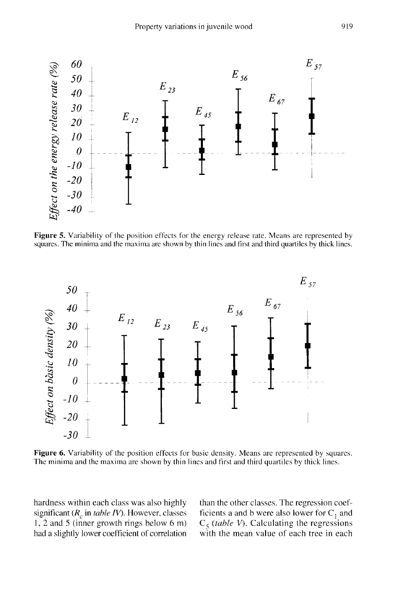

Figure 5. Variability of the position effects for the energy release rate. Means are represented by squares. The minima and the maxima are shown by thin lines and first and third quartiles by thick lines.



Figure 6. Variability of the position effects for basic density. Means are represented by squares. The minima and the maxima are shown by thin lines and first and third quartiles by thick lines.

hardness within each class was also highly significant ( $R_c$  in table IV). However, classes 1, 2 and 5 (inner growth rings below 6 m) had a slightly lower coefficient of correlation

than the other classes. The regression coefficients a and b were also lower for  $C_1$  and  $C_5$  (*table V*). Calculating the regressions<br>with the mean value of each tree in each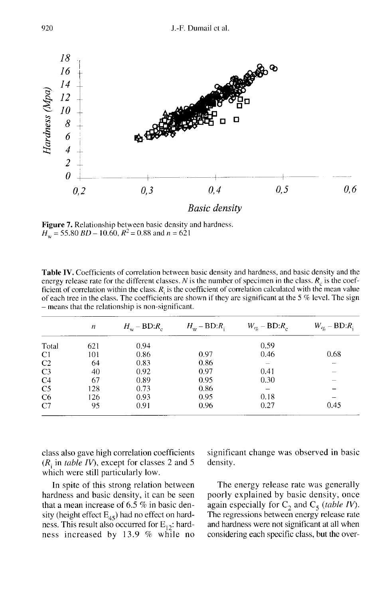

Figure 7. Relationship between basic density and hardness.  $H_w$  = 55.80 BD – 10.60,  $R^2$  = 0.88 and n = 621

Table IV. Coefficients of correlation between basic density and hardness, and basic density and the energy release rate for the different classes. N is the number of specimen in the class.  $R_c$  is the coefficient of correlation within the class.  $R_i$  is the coefficient of correlation calculated with the mean value of each tree in the class. The coefficients are shown if they are significant at the  $5\%$  level. The sign - means that the relationship is non-significant.

|                | $\boldsymbol{n}$ | $H_{\rm w}$ – BD: $R_{\rm c}$ | $H_{\rm w}$ – BD: $R_{\rm i}$ | $W_{q_c}$ – BD: $R_c$ | $W_{\alpha}$ – BD: $R_i$ |
|----------------|------------------|-------------------------------|-------------------------------|-----------------------|--------------------------|
| Total          | 621              | 0.94                          |                               | 0.59                  |                          |
| C1             | 101              | 0.86                          | 0.97                          | 0.46                  | 0.68                     |
| C <sub>2</sub> | 64               | 0.83                          | 0.86                          |                       |                          |
| C <sub>3</sub> | 40               | 0.92                          | 0.97                          | 0.41                  |                          |
| C <sub>4</sub> | 67               | 0.89                          | 0.95                          | 0.30                  |                          |
| C <sub>5</sub> | 128              | 0.73                          | 0.86                          |                       |                          |
| C6             | 126              | 0.93                          | 0.95                          | 0.18                  |                          |
| C7             | 95               | 0.91                          | 0.96                          | 0.27                  | 0.45                     |

class also gave high correlation coefficients  $(R<sub>i</sub>$  in table IV), except for classes 2 and 5 which were still particularly low.

In spite of this strong relation between hardness and basic density, it can be seen that a mean increase of 6.5 % in basic density (height effect  $E_{45}$ ) had no effect on hardness. This result also occurred for  $E_{12}$ : hardness increased by 13.9 % while no significant change was observed in basic density.

The energy release rate was generally poorly explained by basic density, once again especially for  $C_2$  and  $C_5$  (table IV). The regressions between energy release rate and hardness were not significant at all when considering each specific class, but the over-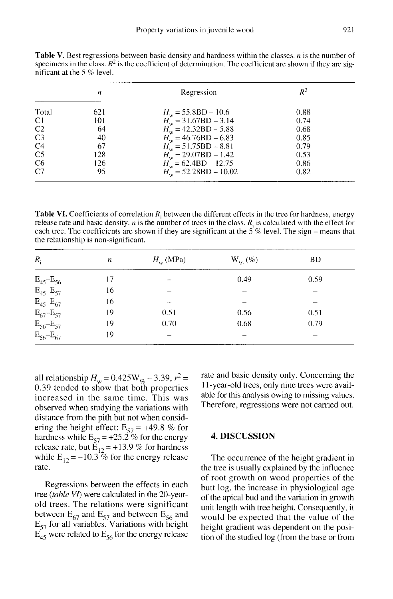|                | п   | Regression                                                                  | $R^2$ |
|----------------|-----|-----------------------------------------------------------------------------|-------|
| Total          | 621 | $H_w = 55.8BD - 10.6$                                                       | 0.88  |
| C1             | 101 |                                                                             | 0.74  |
| C <sub>2</sub> | 64  | $H_w^{\text{w}} = 31.67 \text{BD} - 3.14$<br>$H_w = 42.32 \text{BD} - 5.88$ | 0.68  |
| C <sub>3</sub> | 40  | $H_{\text{w}}^{\text{m}} = 46.76 \text{BD} - 6.83$                          | 0.85  |
| C <sub>4</sub> | 67  | $H_{\rm w}$ = 51.75BD – 8.81                                                | 0.79  |
| C <sub>5</sub> | 128 | $H_w = 29.07BD - 1.42$                                                      | 0.53  |
| C <sub>6</sub> | 126 |                                                                             | 0.86  |
| C7             | 95  | $H_w^{\text{v}} = 62.4BD - 12.75$<br>$H_w = 52.28BD - 10.02$                | 0.82  |

Table V. Best regressions between basic density and hardness within the classes. *n* is the number of specimens in the class.  $R^2$  is the coefficient of determination. The coefficient are shown if they are significant at the 5 % level.

Table VI. Coefficients of correlation  $R_i$  between the different effects in the tree for hardness, energy release rate and basic density. *n* is the number of trees in the class.  $R_i$  is calculated with the effect for each tree. The coefficients are shown if they are significant at the 5 % level. The sign – means that the relationship is non-significant.

| $R_{\rm i}$         | $\boldsymbol{n}$ | $H_w$ (MPa) | $W_{\alpha}(\%)$ | BD            |
|---------------------|------------------|-------------|------------------|---------------|
| $E_{45} - E_{56}$   | 17               | -           | 0.49             | 0.59          |
| $E_{45} - E_{57}$   | 16               |             |                  |               |
| $E_{45} - E_{67}$   | 16               |             |                  |               |
| $E_{67}$ - $E_{57}$ | 19               | 0.51        | 0.56             | 0.51          |
| $E_{56} - E_{57}$   | 19               | 0.70        | 0.68             | 0.79          |
| $E_{56} - E_{67}$   | 19               |             |                  | <b>Marine</b> |

all relationship  $H_w = 0.425 W_{\%} - 3.39$ ,  $r^2 =$ 0.39 tended to show that both properties increased in the same time. This was observed when studying the variations with distance from the pith but not when considdistance from the pith but not when considering the height effect:  $E_{57} = +49.8$  % for hardness while  $E_{57} = +25.2$  % for the energy distance from the ptin but not when considering the height effect:  $E_{57} = +49.8$  % for hardness while  $E_{57} = +25.2$  % for the energy release rate, but  $E_{12} = +13.9$  % for hardness while  $E_{12} = -10.3$  % for the energy rele release rate, but  $\vec{E}_{12} = +13.9$  % for hardness<br>while  $E_{12} = -10.3$  % for the energy release rate.

Regressions between the effects in each tree (table VI) were calculated in the 20-yearold trees. The relations were significant between  $E_{67}$  and  $E_{57}$  and between  $E_{56}$  and<br> $E_{56}$  and  $E_{57}$  and between  $E_{56}$  and E<sub>57</sub> for all variables. Variations with height<br> $E_{57}$  for all variables. Variations with height  $E_{45}$  were related to  $E_{56}$  for the energy release rate and basic density only. Concerning the 11-year-old trees, only nine trees were available for this analysis owing to missing values. Therefore, regressions were not carried out.

## 4. DISCUSSION

The occurrence of the height gradient in the tree is usually explained by the influence of root growth on wood properties of the butt log, the increase in physiological age of the apical bud and the variation in growth unit length with tree height. Consequently, it would be expected that the value of the height gradient was dependent on the position of the studied log (from the base or from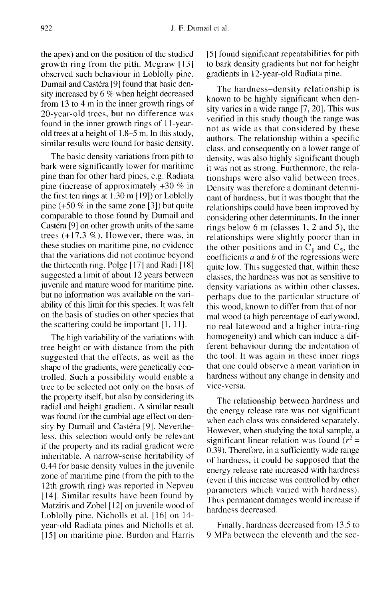the apex) and on the position of the studied growth ring from the pith. Megraw [13] observed such behaviour in Loblolly pine. Dumail and Castéra [9] found that basic density increased by 6 % when height decreased from 13 to 4 m in the inner growth rings of 20-year-old trees, but no difference was found in the inner growth rings of 11-yearold trees at a height of 1.8-5 m. In this study, similar results were found for basic density.

The basic density variations from pith to bark were significantly lower for maritime pine than for other hard pines, e.g. Radiata pine (increase of approximately +30 % in the first ten rings at 1.30 m [ 19]) or Loblolly pine  $(+50\%$  in the same zone [3]) but quite comparable to those found by Dumail and Castéra [9] on other growth units of the same trees (+17.3 %). However, there was, in these studies on maritime pine, no evidence that the variations did not continue beyond the thirteenth ring. Polge [17] and Radi [18] suggested a limit of about 12 years between juvenile and mature wood for maritime pine, but no information was available on the variability of this limit for this species. It was felt on the basis of studies on other species that the scattering could be important [1, 11].

The high variability of the variations with tree height or with distance from the pith suggested that the effects, as well as the shape of the gradients, were genetically controlled. Such a possibility would enable a tree to be selected not only on the basis of the property itself, but also by considering its radial and height gradient. A similar result was found for the cambial age effect on density by Dumail and Castéra [9]. Nevertheless, this selection would only be relevant if the property and its radial gradient were inheritable. A narrow-sense heritability of 0.44 for basic density values in the juvenile zone of maritime pine (from the pith to the 12th growth ring) was reported in Nepveu [14]. Similar results have been found by Matziris and Zobel [12] on juvenile wood of Loblolly pine, Nicholls et al. [16] on 14 year-old Radiata pines and Nicholls et al. [15] on maritime pine. Burdon and Harris [5] found significant repeatabilities for pith to bark density gradients but not for height gradients in 12-year-old Radiata pine.

The hardness-density relationship is known to be highly significant when density varies in a wide range [7, 20]. This was verified in this study though the range was not as wide as that considered by these authors. The relationship within a specific class, and consequently on a lower range of density, was also highly significant though it was not as strong. Furthermore, the relationships were also valid between trees. Density was therefore a dominant determinant of hardness, but it was thought that the relationships could have been improved by considering other determinants. In the inner rings below 6 m (classes 1, 2 and 5), the relationships were slightly poorer than in the other positions and in  $C_1$  and  $C_5$ , the coefficients  $a$  and  $b$  of the regressions were quite low. This suggested that, within these classes, the hardness was not as sensitive to density variations as within other classes, perhaps due to the particular structure of this wood, known to differ from that of normal wood (a high percentage of earlywood, no real latewood and a higher intra-ring homogeneity) and which can induce a different behaviour during the indentation of the tool. It was again in these inner rings that one could observe a mean variation in hardness without any change in density and vice-versa.

The relationship between hardness and the energy release rate was not significant when each class was considered separately. However, when studying the total sample, a significant linear relation was found  $(r^2 =$ 0.39). Therefore, in a sufficiently wide range of hardness, it could be supposed that the energy release rate increased with hardness (even if this increase was controlled by other parameters which varied with hardness). Thus permanent damages would increase if hardness decreased.

Finally, hardness decreased from 13.5 to 9 MPa between the eleventh and the sec